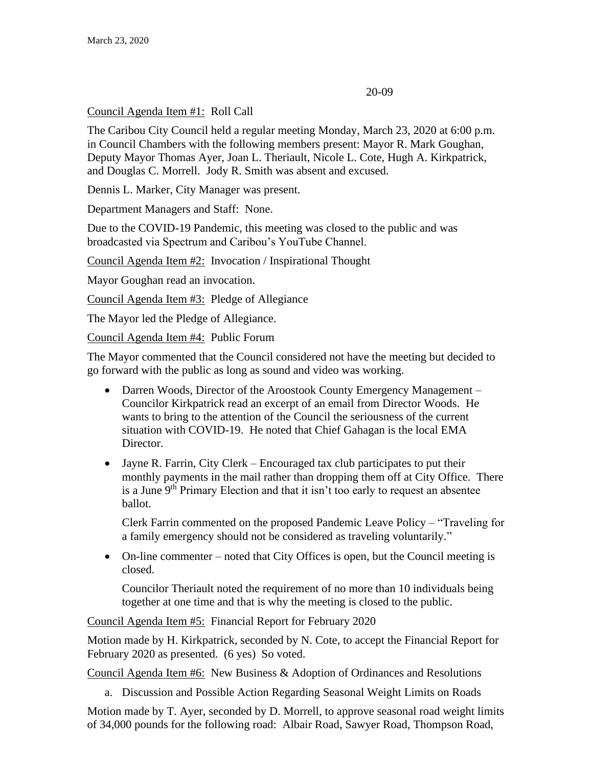#### 20-09

# Council Agenda Item #1: Roll Call

The Caribou City Council held a regular meeting Monday, March 23, 2020 at 6:00 p.m. in Council Chambers with the following members present: Mayor R. Mark Goughan, Deputy Mayor Thomas Ayer, Joan L. Theriault, Nicole L. Cote, Hugh A. Kirkpatrick, and Douglas C. Morrell. Jody R. Smith was absent and excused.

Dennis L. Marker, City Manager was present.

Department Managers and Staff: None.

Due to the COVID-19 Pandemic, this meeting was closed to the public and was broadcasted via Spectrum and Caribou's YouTube Channel.

Council Agenda Item #2: Invocation / Inspirational Thought

Mayor Goughan read an invocation.

Council Agenda Item #3: Pledge of Allegiance

The Mayor led the Pledge of Allegiance.

Council Agenda Item #4: Public Forum

The Mayor commented that the Council considered not have the meeting but decided to go forward with the public as long as sound and video was working.

- Darren Woods, Director of the Aroostook County Emergency Management Councilor Kirkpatrick read an excerpt of an email from Director Woods. He wants to bring to the attention of the Council the seriousness of the current situation with COVID-19. He noted that Chief Gahagan is the local EMA Director.
- Jayne R. Farrin, City Clerk Encouraged tax club participates to put their monthly payments in the mail rather than dropping them off at City Office. There is a June  $9<sup>th</sup>$  Primary Election and that it isn't too early to request an absentee ballot.

Clerk Farrin commented on the proposed Pandemic Leave Policy – "Traveling for a family emergency should not be considered as traveling voluntarily."

• On-line commenter – noted that City Offices is open, but the Council meeting is closed.

Councilor Theriault noted the requirement of no more than 10 individuals being together at one time and that is why the meeting is closed to the public.

Council Agenda Item #5: Financial Report for February 2020

Motion made by H. Kirkpatrick, seconded by N. Cote, to accept the Financial Report for February 2020 as presented. (6 yes) So voted.

Council Agenda Item #6: New Business & Adoption of Ordinances and Resolutions

a. Discussion and Possible Action Regarding Seasonal Weight Limits on Roads

Motion made by T. Ayer, seconded by D. Morrell, to approve seasonal road weight limits of 34,000 pounds for the following road: Albair Road, Sawyer Road, Thompson Road,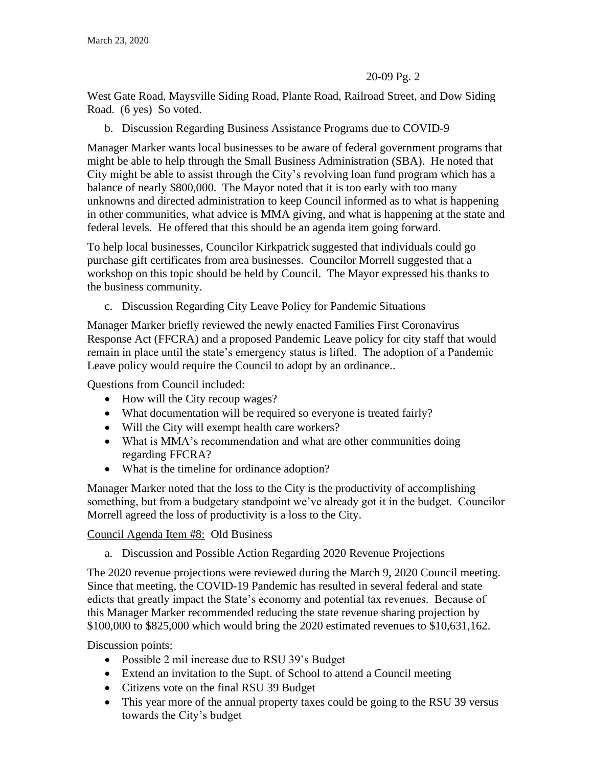## 20-09 Pg. 2

West Gate Road, Maysville Siding Road, Plante Road, Railroad Street, and Dow Siding Road. (6 yes) So voted.

b. Discussion Regarding Business Assistance Programs due to COVID-9

Manager Marker wants local businesses to be aware of federal government programs that might be able to help through the Small Business Administration (SBA). He noted that City might be able to assist through the City's revolving loan fund program which has a balance of nearly \$800,000. The Mayor noted that it is too early with too many unknowns and directed administration to keep Council informed as to what is happening in other communities, what advice is MMA giving, and what is happening at the state and federal levels. He offered that this should be an agenda item going forward.

To help local businesses, Councilor Kirkpatrick suggested that individuals could go purchase gift certificates from area businesses. Councilor Morrell suggested that a workshop on this topic should be held by Council. The Mayor expressed his thanks to the business community.

c. Discussion Regarding City Leave Policy for Pandemic Situations

Manager Marker briefly reviewed the newly enacted Families First Coronavirus Response Act (FFCRA) and a proposed Pandemic Leave policy for city staff that would remain in place until the state's emergency status is lifted. The adoption of a Pandemic Leave policy would require the Council to adopt by an ordinance..

Questions from Council included:

- How will the City recoup wages?
- What documentation will be required so everyone is treated fairly?
- Will the City will exempt health care workers?
- What is MMA's recommendation and what are other communities doing regarding FFCRA?
- What is the timeline for ordinance adoption?

Manager Marker noted that the loss to the City is the productivity of accomplishing something, but from a budgetary standpoint we've already got it in the budget. Councilor Morrell agreed the loss of productivity is a loss to the City.

Council Agenda Item #8: Old Business

a. Discussion and Possible Action Regarding 2020 Revenue Projections

The 2020 revenue projections were reviewed during the March 9, 2020 Council meeting. Since that meeting, the COVID-19 Pandemic has resulted in several federal and state edicts that greatly impact the State's economy and potential tax revenues. Because of this Manager Marker recommended reducing the state revenue sharing projection by \$100,000 to \$825,000 which would bring the 2020 estimated revenues to \$10,631,162.

Discussion points:

- Possible 2 mil increase due to RSU 39's Budget
- Extend an invitation to the Supt. of School to attend a Council meeting
- Citizens vote on the final RSU 39 Budget
- This year more of the annual property taxes could be going to the RSU 39 versus towards the City's budget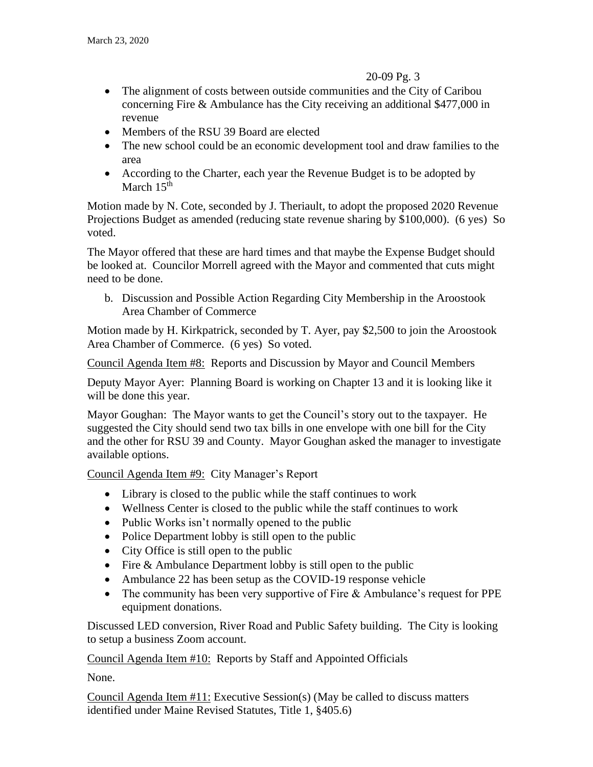## 20-09 Pg. 3

- The alignment of costs between outside communities and the City of Caribou concerning Fire & Ambulance has the City receiving an additional \$477,000 in revenue
- Members of the RSU 39 Board are elected
- The new school could be an economic development tool and draw families to the area
- According to the Charter, each year the Revenue Budget is to be adopted by March 15<sup>th</sup>

Motion made by N. Cote, seconded by J. Theriault, to adopt the proposed 2020 Revenue Projections Budget as amended (reducing state revenue sharing by \$100,000). (6 yes) So voted.

The Mayor offered that these are hard times and that maybe the Expense Budget should be looked at. Councilor Morrell agreed with the Mayor and commented that cuts might need to be done.

b. Discussion and Possible Action Regarding City Membership in the Aroostook Area Chamber of Commerce

Motion made by H. Kirkpatrick, seconded by T. Ayer, pay \$2,500 to join the Aroostook Area Chamber of Commerce. (6 yes) So voted.

Council Agenda Item #8: Reports and Discussion by Mayor and Council Members

Deputy Mayor Ayer: Planning Board is working on Chapter 13 and it is looking like it will be done this year.

Mayor Goughan: The Mayor wants to get the Council's story out to the taxpayer. He suggested the City should send two tax bills in one envelope with one bill for the City and the other for RSU 39 and County. Mayor Goughan asked the manager to investigate available options.

Council Agenda Item #9: City Manager's Report

- Library is closed to the public while the staff continues to work
- Wellness Center is closed to the public while the staff continues to work
- Public Works isn't normally opened to the public
- Police Department lobby is still open to the public
- City Office is still open to the public
- Fire & Ambulance Department lobby is still open to the public
- Ambulance 22 has been setup as the COVID-19 response vehicle
- The community has been very supportive of Fire & Ambulance's request for PPE equipment donations.

Discussed LED conversion, River Road and Public Safety building. The City is looking to setup a business Zoom account.

Council Agenda Item #10: Reports by Staff and Appointed Officials

None.

Council Agenda Item  $#11$ : Executive Session(s) (May be called to discuss matters identified under Maine Revised Statutes, Title 1, §405.6)